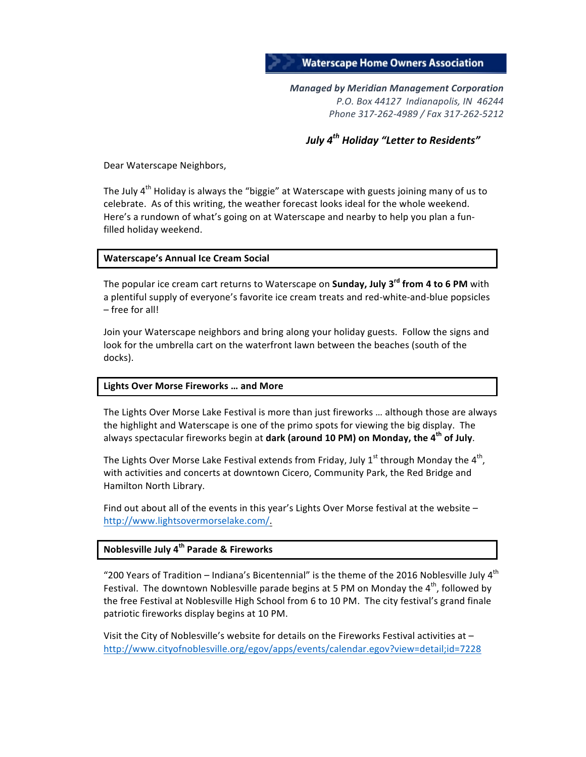#### **Waterscape Home Owners Association**

*Managed by Meridian Management Corporation P.O. Box 44127 Indianapolis, IN 46244 Phone 317-262-4989 / Fax 317-262-5212*

*July*  $4^{th}$  *Holiday* "Letter to Residents"

Dear Waterscape Neighbors,

The July  $4<sup>th</sup>$  Holiday is always the "biggie" at Waterscape with guests joining many of us to celebrate. As of this writing, the weather forecast looks ideal for the whole weekend. Here's a rundown of what's going on at Waterscape and nearby to help you plan a funfilled holiday weekend.

#### **Waterscape's Annual Ice Cream Social**

The popular ice cream cart returns to Waterscape on **Sunday, July 3<sup>rd</sup> from 4 to 6 PM** with a plentiful supply of everyone's favorite ice cream treats and red-white-and-blue popsicles – free for all!

Join your Waterscape neighbors and bring along your holiday guests. Follow the signs and look for the umbrella cart on the waterfront lawn between the beaches (south of the docks).

#### **Lights Over Morse Fireworks … and More**

The Lights Over Morse Lake Festival is more than just fireworks ... although those are always the highlight and Waterscape is one of the primo spots for viewing the big display. The always spectacular fireworks begin at **dark (around 10 PM) on Monday, the 4<sup>th</sup> of July**.

The Lights Over Morse Lake Festival extends from Friday, July 1<sup>st</sup> through Monday the 4<sup>th</sup>, with activities and concerts at downtown Cicero, Community Park, the Red Bridge and Hamilton North Library.

Find out about all of the events in this year's Lights Over Morse festival at the website  $$ http://www.lightsovermorselake.com/.

#### **Noblesville July 4th Parade & Fireworks**

"200 Years of Tradition – Indiana's Bicentennial" is the theme of the 2016 Noblesville July  $4^{th}$ Festival. The downtown Noblesville parade begins at 5 PM on Monday the  $4<sup>th</sup>$ , followed by the free Festival at Noblesville High School from 6 to 10 PM. The city festival's grand finale patriotic fireworks display begins at 10 PM.

Visit the City of Noblesville's website for details on the Fireworks Festival activities at  $$ http://www.cityofnoblesville.org/egov/apps/events/calendar.egov?view=detail;id=7228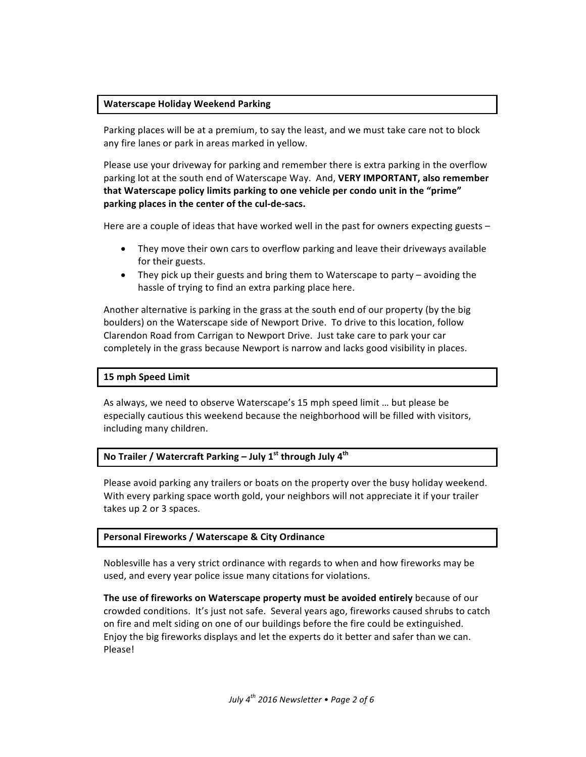#### **Waterscape Holiday Weekend Parking**

Parking places will be at a premium, to say the least, and we must take care not to block any fire lanes or park in areas marked in yellow.

Please use your driveway for parking and remember there is extra parking in the overflow parking lot at the south end of Waterscape Way. And, **VERY IMPORTANT, also remember that Waterscape policy limits parking to one vehicle per condo unit in the "prime"** parking places in the center of the cul-de-sacs.

Here are a couple of ideas that have worked well in the past for owners expecting guests  $-$ 

- They move their own cars to overflow parking and leave their driveways available for their guests.
- They pick up their guests and bring them to Waterscape to party avoiding the hassle of trying to find an extra parking place here.

Another alternative is parking in the grass at the south end of our property (by the big boulders) on the Waterscape side of Newport Drive. To drive to this location, follow Clarendon Road from Carrigan to Newport Drive. Just take care to park your car completely in the grass because Newport is narrow and lacks good visibility in places.

#### **15 mph Speed Limit**

As always, we need to observe Waterscape's 15 mph speed limit ... but please be especially cautious this weekend because the neighborhood will be filled with visitors, including many children.

#### **No Trailer / Watercraft Parking – July 1<sup>st</sup> through July 4<sup>th</sup>**

Please avoid parking any trailers or boats on the property over the busy holiday weekend. With every parking space worth gold, your neighbors will not appreciate it if your trailer takes up 2 or 3 spaces.

#### **Personal Fireworks / Waterscape & City Ordinance**

Noblesville has a very strict ordinance with regards to when and how fireworks may be used, and every year police issue many citations for violations.

The use of fireworks on Waterscape property must be avoided entirely because of our crowded conditions. It's just not safe. Several years ago, fireworks caused shrubs to catch on fire and melt siding on one of our buildings before the fire could be extinguished. Enjoy the big fireworks displays and let the experts do it better and safer than we can. Please!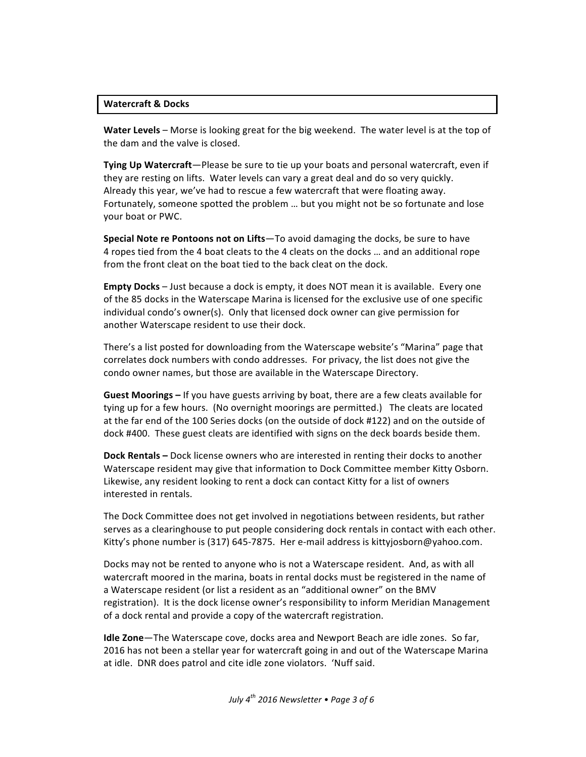#### **Watercraft & Docks**

**Water Levels** – Morse is looking great for the big weekend. The water level is at the top of the dam and the valve is closed.

**Tying Up Watercraft**—Please be sure to tie up your boats and personal watercraft, even if they are resting on lifts. Water levels can vary a great deal and do so very quickly. Already this year, we've had to rescue a few watercraft that were floating away. Fortunately, someone spotted the problem ... but you might not be so fortunate and lose your boat or PWC.

**Special Note re Pontoons not on Lifts**—To avoid damaging the docks, be sure to have 4 ropes tied from the 4 boat cleats to the 4 cleats on the docks ... and an additional rope from the front cleat on the boat tied to the back cleat on the dock.

**Empty Docks** – Just because a dock is empty, it does NOT mean it is available. Every one of the 85 docks in the Waterscape Marina is licensed for the exclusive use of one specific individual condo's owner(s). Only that licensed dock owner can give permission for another Waterscape resident to use their dock.

There's a list posted for downloading from the Waterscape website's "Marina" page that correlates dock numbers with condo addresses. For privacy, the list does not give the condo owner names, but those are available in the Waterscape Directory.

**Guest Moorings** – If you have guests arriving by boat, there are a few cleats available for tying up for a few hours. (No overnight moorings are permitted.) The cleats are located at the far end of the 100 Series docks (on the outside of dock #122) and on the outside of dock #400. These guest cleats are identified with signs on the deck boards beside them.

**Dock Rentals** – Dock license owners who are interested in renting their docks to another Waterscape resident may give that information to Dock Committee member Kitty Osborn. Likewise, any resident looking to rent a dock can contact Kitty for a list of owners interested in rentals.

The Dock Committee does not get involved in negotiations between residents, but rather serves as a clearinghouse to put people considering dock rentals in contact with each other. Kitty's phone number is (317) 645-7875. Her e-mail address is kittyjosborn@yahoo.com.

Docks may not be rented to anyone who is not a Waterscape resident. And, as with all watercraft moored in the marina, boats in rental docks must be registered in the name of a Waterscape resident (or list a resident as an "additional owner" on the BMV registration). It is the dock license owner's responsibility to inform Meridian Management of a dock rental and provide a copy of the watercraft registration.

**Idle Zone**—The Waterscape cove, docks area and Newport Beach are idle zones. So far, 2016 has not been a stellar year for watercraft going in and out of the Waterscape Marina at idle. DNR does patrol and cite idle zone violators. 'Nuff said.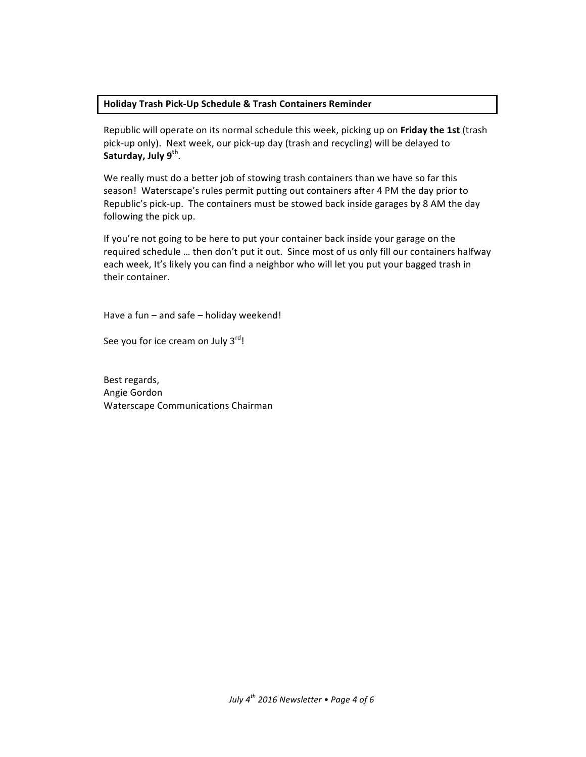#### **Holiday Trash Pick-Up Schedule & Trash Containers Reminder**

Republic will operate on its normal schedule this week, picking up on Friday the 1st (trash pick-up only). Next week, our pick-up day (trash and recycling) will be delayed to **Saturday, July 9th**.

We really must do a better job of stowing trash containers than we have so far this season! Waterscape's rules permit putting out containers after 4 PM the day prior to Republic's pick-up. The containers must be stowed back inside garages by 8 AM the day following the pick up.

If you're not going to be here to put your container back inside your garage on the required schedule ... then don't put it out. Since most of us only fill our containers halfway each week, It's likely you can find a neighbor who will let you put your bagged trash in their container.

Have a fun  $-$  and safe  $-$  holiday weekend!

See you for ice cream on July  $3^{\text{rd}}$ !

Best regards, Angie Gordon Waterscape Communications Chairman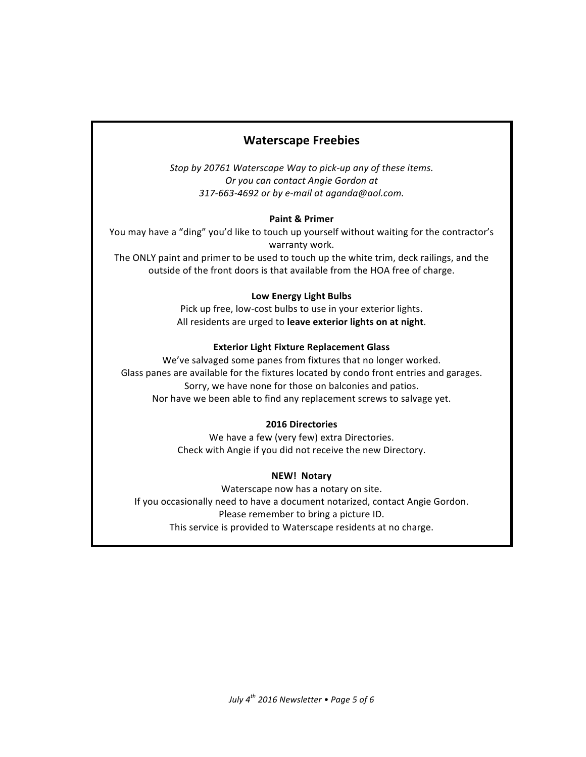### **Waterscape Freebies**

Stop by 20761 Waterscape Way to pick-up any of these items. *Or you can contact Angie Gordon at 317-663-4692 or by e-mail at aganda@aol.com.*

#### **Paint & Primer**

You may have a "ding" you'd like to touch up yourself without waiting for the contractor's warranty work.

The ONLY paint and primer to be used to touch up the white trim, deck railings, and the outside of the front doors is that available from the HOA free of charge.

#### **Low Energy Light Bulbs**

Pick up free, low-cost bulbs to use in your exterior lights. All residents are urged to leave exterior lights on at night.

#### **Exterior Light Fixture Replacement Glass**

We've salvaged some panes from fixtures that no longer worked. Glass panes are available for the fixtures located by condo front entries and garages. Sorry, we have none for those on balconies and patios. Nor have we been able to find any replacement screws to salvage yet.

#### **2016 Directories**

We have a few (very few) extra Directories. Check with Angie if you did not receive the new Directory.

#### **NEW! Notary**

Waterscape now has a notary on site. If you occasionally need to have a document notarized, contact Angie Gordon. Please remember to bring a picture ID. This service is provided to Waterscape residents at no charge.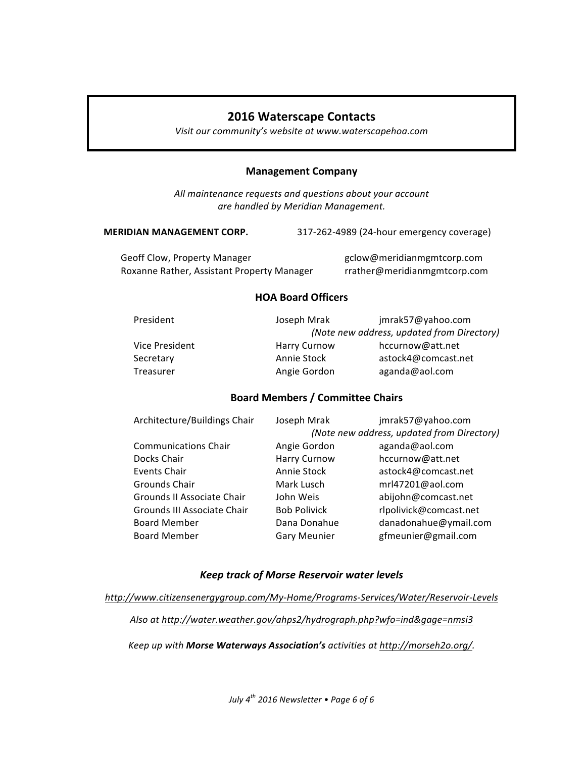#### **2016 Waterscape Contacts**

Visit our community's website at www.waterscapehoa.com

#### **Management Company**

All maintenance requests and questions about your account *are handled by Meridian Management.*

**MERIDIAN MANAGEMENT CORP.** 317-262-4989 (24-hour emergency coverage)

Geoff Clow, Property Manager example and the group gclow@meridianmgmtcorp.com Roxanne Rather, Assistant Property Manager rrather@meridianmgmtcorp.com

#### **HOA Board Officers**

| President        | Joseph Mrak                                | jmrak57@yahoo.com   |
|------------------|--------------------------------------------|---------------------|
|                  | (Note new address, updated from Directory) |                     |
| Vice President   | <b>Harry Curnow</b>                        | hccurnow@att.net    |
| Secretary        | Annie Stock                                | astock4@comcast.net |
| <b>Treasurer</b> | Angie Gordon                               | aganda@aol.com      |

#### **Board Members / Committee Chairs**

| Architecture/Buildings Chair | Joseph Mrak         | jmrak57@yahoo.com                          |
|------------------------------|---------------------|--------------------------------------------|
|                              |                     | (Note new address, updated from Directory) |
| <b>Communications Chair</b>  | Angie Gordon        | aganda@aol.com                             |
| Docks Chair                  | <b>Harry Curnow</b> | hccurnow@att.net                           |
| Events Chair                 | Annie Stock         | astock4@comcast.net                        |
| Grounds Chair                | Mark Lusch          | mrl47201@aol.com                           |
| Grounds II Associate Chair   | John Weis           | abijohn@comcast.net                        |
| Grounds III Associate Chair  | <b>Bob Polivick</b> | rlpolivick@comcast.net                     |
| <b>Board Member</b>          | Dana Donahue        | danadonahue@ymail.com                      |
| <b>Board Member</b>          | <b>Gary Meunier</b> | gfmeunier@gmail.com                        |
|                              |                     |                                            |

#### *Keep track of Morse Reservoir water levels*

*http://www.citizensenergygroup.com/My-Home/Programs-Services/Water/Reservoir-Levels*

*Also at http://water.weather.gov/ahps2/hydrograph.php?wfo=ind&gage=nmsi3*

Keep up with **Morse Waterways Association's** activities at http://morseh2o.org/.